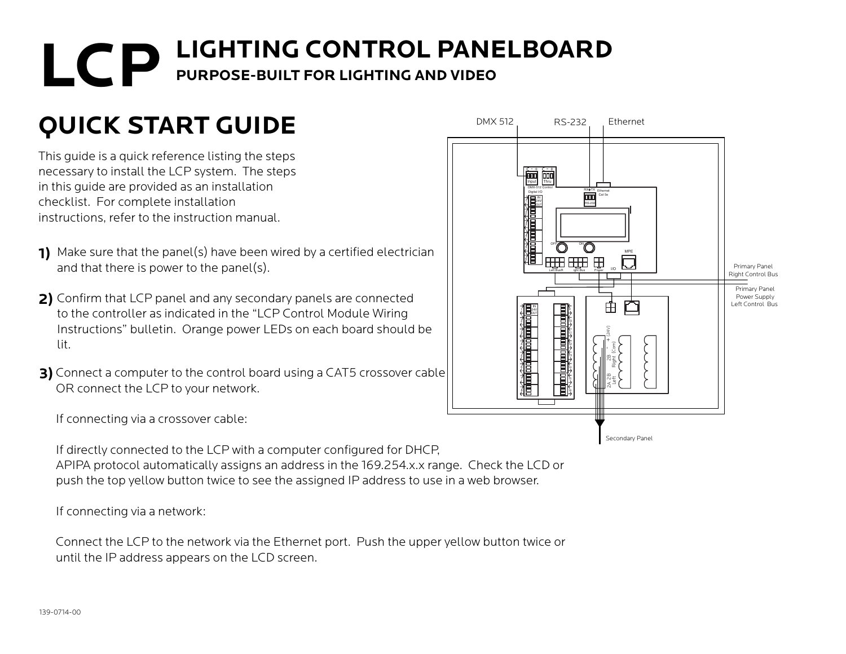## **LCP** LIGHTING CONTROL PANELBOARD **PURPOSE-BUILT FOR LIGHTING AND VIDEO**

## **QUICK START GUIDE**

This guide is a quick reference listing the steps necessary to install the LCP system. The steps in this guide are provided as an installation checklist. For complete installation instructions, refer to the instruction manual.

- Make sure that the panel(s) have been wired by a certified electrician **1)** and that there is power to the panel(s).
- Confirm that LCP panel and any secondary panels are connected **2)** to the controller as indicated in the "LCP Control Module Wiring Instructions" bulletin. Orange power LEDs on each board should be lit.
- **3)** Connect a computer to the control board using a CAT5 crossover cable OR connect the LCP to your network.



If connecting via a crossover cable:

If directly connected to the LCP with a computer configured for DHCP, APIPA protocol automatically assigns an address in the 169.254.x.x range. Check the LCD or push the top yellow button twice to see the assigned IP address to use in a web browser.

If connecting via a network:

Connect the LCP to the network via the Ethernet port. Push the upper yellow button twice or until the IP address appears on the LCD screen.